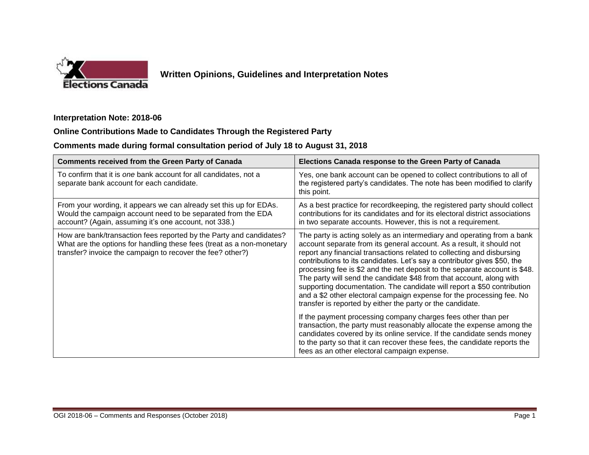

## **Written Opinions, Guidelines and Interpretation Notes**

#### **Interpretation Note: 2018-06**

### **Online Contributions Made to Candidates Through the Registered Party**

# **Comments made during formal consultation period of July 18 to August 31, 2018**

| <b>Comments received from the Green Party of Canada</b>                                                                                                                                                    | Elections Canada response to the Green Party of Canada                                                                                                                                                                                                                                                                                                                                                                                                                                                                                                                                                                                                                         |
|------------------------------------------------------------------------------------------------------------------------------------------------------------------------------------------------------------|--------------------------------------------------------------------------------------------------------------------------------------------------------------------------------------------------------------------------------------------------------------------------------------------------------------------------------------------------------------------------------------------------------------------------------------------------------------------------------------------------------------------------------------------------------------------------------------------------------------------------------------------------------------------------------|
| To confirm that it is one bank account for all candidates, not a<br>separate bank account for each candidate.                                                                                              | Yes, one bank account can be opened to collect contributions to all of<br>the registered party's candidates. The note has been modified to clarify<br>this point.                                                                                                                                                                                                                                                                                                                                                                                                                                                                                                              |
| From your wording, it appears we can already set this up for EDAs.<br>Would the campaign account need to be separated from the EDA<br>account? (Again, assuming it's one account, not 338.)                | As a best practice for record keeping, the registered party should collect<br>contributions for its candidates and for its electoral district associations<br>in two separate accounts. However, this is not a requirement.                                                                                                                                                                                                                                                                                                                                                                                                                                                    |
| How are bank/transaction fees reported by the Party and candidates?<br>What are the options for handling these fees (treat as a non-monetary<br>transfer? invoice the campaign to recover the fee? other?) | The party is acting solely as an intermediary and operating from a bank<br>account separate from its general account. As a result, it should not<br>report any financial transactions related to collecting and disbursing<br>contributions to its candidates. Let's say a contributor gives \$50, the<br>processing fee is \$2 and the net deposit to the separate account is \$48.<br>The party will send the candidate \$48 from that account, along with<br>supporting documentation. The candidate will report a \$50 contribution<br>and a \$2 other electoral campaign expense for the processing fee. No<br>transfer is reported by either the party or the candidate. |
|                                                                                                                                                                                                            | If the payment processing company charges fees other than per<br>transaction, the party must reasonably allocate the expense among the<br>candidates covered by its online service. If the candidate sends money<br>to the party so that it can recover these fees, the candidate reports the<br>fees as an other electoral campaign expense.                                                                                                                                                                                                                                                                                                                                  |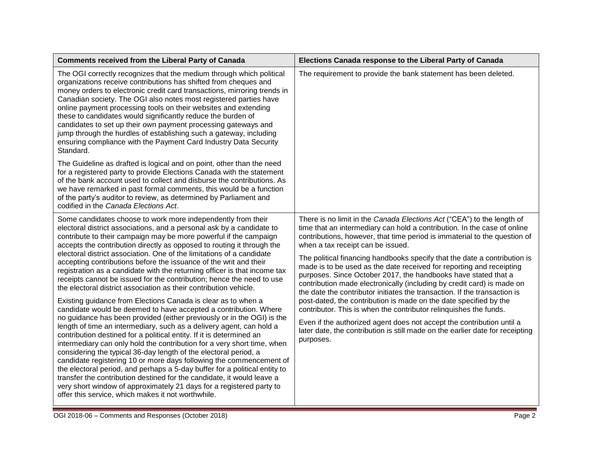| <b>Comments received from the Liberal Party of Canada</b>                                                                                                                                                                                                                                                                                                                                                                                                                                                                                                                                                                                                                                                                                                                                                                                                                                                                                                                                                                                                                                                                                                                                                                                                                                                                                                                                                                                                                                                                                | Elections Canada response to the Liberal Party of Canada                                                                                                                                                                                                                                                                                                                                                                                                                                                                                                                                                                                                                                                                                                                                                                                                                                                                                                            |
|------------------------------------------------------------------------------------------------------------------------------------------------------------------------------------------------------------------------------------------------------------------------------------------------------------------------------------------------------------------------------------------------------------------------------------------------------------------------------------------------------------------------------------------------------------------------------------------------------------------------------------------------------------------------------------------------------------------------------------------------------------------------------------------------------------------------------------------------------------------------------------------------------------------------------------------------------------------------------------------------------------------------------------------------------------------------------------------------------------------------------------------------------------------------------------------------------------------------------------------------------------------------------------------------------------------------------------------------------------------------------------------------------------------------------------------------------------------------------------------------------------------------------------------|---------------------------------------------------------------------------------------------------------------------------------------------------------------------------------------------------------------------------------------------------------------------------------------------------------------------------------------------------------------------------------------------------------------------------------------------------------------------------------------------------------------------------------------------------------------------------------------------------------------------------------------------------------------------------------------------------------------------------------------------------------------------------------------------------------------------------------------------------------------------------------------------------------------------------------------------------------------------|
| The OGI correctly recognizes that the medium through which political<br>organizations receive contributions has shifted from cheques and<br>money orders to electronic credit card transactions, mirroring trends in<br>Canadian society. The OGI also notes most registered parties have<br>online payment processing tools on their websites and extending<br>these to candidates would significantly reduce the burden of<br>candidates to set up their own payment processing gateways and<br>jump through the hurdles of establishing such a gateway, including<br>ensuring compliance with the Payment Card Industry Data Security<br>Standard.                                                                                                                                                                                                                                                                                                                                                                                                                                                                                                                                                                                                                                                                                                                                                                                                                                                                                    | The requirement to provide the bank statement has been deleted.                                                                                                                                                                                                                                                                                                                                                                                                                                                                                                                                                                                                                                                                                                                                                                                                                                                                                                     |
| The Guideline as drafted is logical and on point, other than the need<br>for a registered party to provide Elections Canada with the statement<br>of the bank account used to collect and disburse the contributions. As<br>we have remarked in past formal comments, this would be a function<br>of the party's auditor to review, as determined by Parliament and<br>codified in the Canada Elections Act.                                                                                                                                                                                                                                                                                                                                                                                                                                                                                                                                                                                                                                                                                                                                                                                                                                                                                                                                                                                                                                                                                                                             |                                                                                                                                                                                                                                                                                                                                                                                                                                                                                                                                                                                                                                                                                                                                                                                                                                                                                                                                                                     |
| Some candidates choose to work more independently from their<br>electoral district associations, and a personal ask by a candidate to<br>contribute to their campaign may be more powerful if the campaign<br>accepts the contribution directly as opposed to routing it through the<br>electoral district association. One of the limitations of a candidate<br>accepting contributions before the issuance of the writ and their<br>registration as a candidate with the returning officer is that income tax<br>receipts cannot be issued for the contribution; hence the need to use<br>the electoral district association as their contribution vehicle.<br>Existing guidance from Elections Canada is clear as to when a<br>candidate would be deemed to have accepted a contribution. Where<br>no guidance has been provided (either previously or in the OGI) is the<br>length of time an intermediary, such as a delivery agent, can hold a<br>contribution destined for a political entity. If it is determined an<br>intermediary can only hold the contribution for a very short time, when<br>considering the typical 36-day length of the electoral period, a<br>candidate registering 10 or more days following the commencement of<br>the electoral period, and perhaps a 5-day buffer for a political entity to<br>transfer the contribution destined for the candidate, it would leave a<br>very short window of approximately 21 days for a registered party to<br>offer this service, which makes it not worthwhile. | There is no limit in the Canada Elections Act ("CEA") to the length of<br>time that an intermediary can hold a contribution. In the case of online<br>contributions, however, that time period is immaterial to the question of<br>when a tax receipt can be issued.<br>The political financing handbooks specify that the date a contribution is<br>made is to be used as the date received for reporting and receipting<br>purposes. Since October 2017, the handbooks have stated that a<br>contribution made electronically (including by credit card) is made on<br>the date the contributor initiates the transaction. If the transaction is<br>post-dated, the contribution is made on the date specified by the<br>contributor. This is when the contributor relinquishes the funds.<br>Even if the authorized agent does not accept the contribution until a<br>later date, the contribution is still made on the earlier date for receipting<br>purposes. |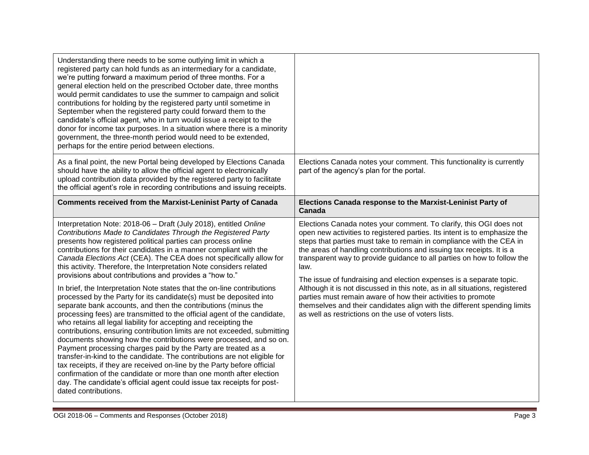| Understanding there needs to be some outlying limit in which a<br>registered party can hold funds as an intermediary for a candidate,<br>we're putting forward a maximum period of three months. For a<br>general election held on the prescribed October date, three months<br>would permit candidates to use the summer to campaign and solicit<br>contributions for holding by the registered party until sometime in<br>September when the registered party could forward them to the<br>candidate's official agent, who in turn would issue a receipt to the<br>donor for income tax purposes. In a situation where there is a minority<br>government, the three-month period would need to be extended,<br>perhaps for the entire period between elections.                                                                                                                                                                                                                                                                                                                                                                                                                                                                                                                                                                                                                                      |                                                                                                                                                                                                                                                                                                                                                                                                                                                                                                                                                                                                                                                                                                                                              |
|--------------------------------------------------------------------------------------------------------------------------------------------------------------------------------------------------------------------------------------------------------------------------------------------------------------------------------------------------------------------------------------------------------------------------------------------------------------------------------------------------------------------------------------------------------------------------------------------------------------------------------------------------------------------------------------------------------------------------------------------------------------------------------------------------------------------------------------------------------------------------------------------------------------------------------------------------------------------------------------------------------------------------------------------------------------------------------------------------------------------------------------------------------------------------------------------------------------------------------------------------------------------------------------------------------------------------------------------------------------------------------------------------------|----------------------------------------------------------------------------------------------------------------------------------------------------------------------------------------------------------------------------------------------------------------------------------------------------------------------------------------------------------------------------------------------------------------------------------------------------------------------------------------------------------------------------------------------------------------------------------------------------------------------------------------------------------------------------------------------------------------------------------------------|
| As a final point, the new Portal being developed by Elections Canada<br>should have the ability to allow the official agent to electronically<br>upload contribution data provided by the registered party to facilitate<br>the official agent's role in recording contributions and issuing receipts.                                                                                                                                                                                                                                                                                                                                                                                                                                                                                                                                                                                                                                                                                                                                                                                                                                                                                                                                                                                                                                                                                                 | Elections Canada notes your comment. This functionality is currently<br>part of the agency's plan for the portal.                                                                                                                                                                                                                                                                                                                                                                                                                                                                                                                                                                                                                            |
| <b>Comments received from the Marxist-Leninist Party of Canada</b>                                                                                                                                                                                                                                                                                                                                                                                                                                                                                                                                                                                                                                                                                                                                                                                                                                                                                                                                                                                                                                                                                                                                                                                                                                                                                                                                     | Elections Canada response to the Marxist-Leninist Party of<br>Canada                                                                                                                                                                                                                                                                                                                                                                                                                                                                                                                                                                                                                                                                         |
| Interpretation Note: 2018-06 - Draft (July 2018), entitled Online<br>Contributions Made to Candidates Through the Registered Party<br>presents how registered political parties can process online<br>contributions for their candidates in a manner compliant with the<br>Canada Elections Act (CEA). The CEA does not specifically allow for<br>this activity. Therefore, the Interpretation Note considers related<br>provisions about contributions and provides a "how to."<br>In brief, the Interpretation Note states that the on-line contributions<br>processed by the Party for its candidate(s) must be deposited into<br>separate bank accounts, and then the contributions (minus the<br>processing fees) are transmitted to the official agent of the candidate,<br>who retains all legal liability for accepting and receipting the<br>contributions, ensuring contribution limits are not exceeded, submitting<br>documents showing how the contributions were processed, and so on.<br>Payment processing charges paid by the Party are treated as a<br>transfer-in-kind to the candidate. The contributions are not eligible for<br>tax receipts, if they are received on-line by the Party before official<br>confirmation of the candidate or more than one month after election<br>day. The candidate's official agent could issue tax receipts for post-<br>dated contributions. | Elections Canada notes your comment. To clarify, this OGI does not<br>open new activities to registered parties. Its intent is to emphasize the<br>steps that parties must take to remain in compliance with the CEA in<br>the areas of handling contributions and issuing tax receipts. It is a<br>transparent way to provide guidance to all parties on how to follow the<br>law.<br>The issue of fundraising and election expenses is a separate topic.<br>Although it is not discussed in this note, as in all situations, registered<br>parties must remain aware of how their activities to promote<br>themselves and their candidates align with the different spending limits<br>as well as restrictions on the use of voters lists. |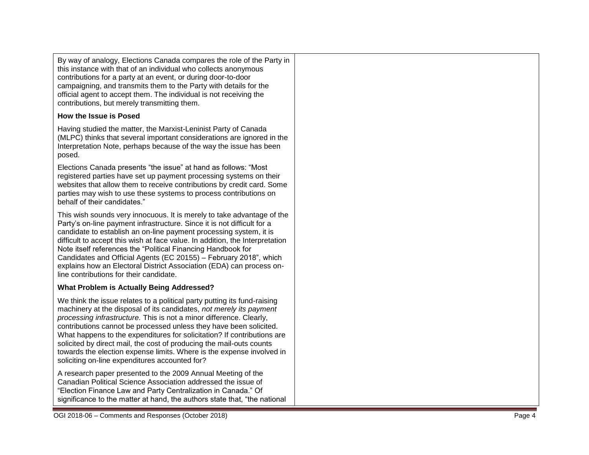By way of analogy, Elections Canada compares the role of the Party in this instance with that of an individual who collects anonymous contributions for a party at an event, or during door -to -door campaigning, and transmits them to the Party with details for the official agent to accept them. The individual is not receiving the contributions, but merely transmitting them.

#### **How the Issue is Posed**

Having studied the matter, the Marxist -Leninist Party of Canada (MLPC) thinks that several important considerations are ignored in the Interpretation Note, perhaps because of the way the issue has been posed.

Elections Canada presents "the issue" at hand as follows: "Most registered parties have set up payment processing systems on their websites that allow them to receive contributions by credit card. Some parties may wish to use these systems to process contributions on behalf of their candidates."

This wish sounds very innocuous. It is merely to take advantage of the Party's on -line payment infrastructure. Since it is not difficult for a candidate to establish an on -line payment processing system, it is difficult to accept this wish at face value. In addition, the Interpretation Note itself references the "Political Financing Handbook for Candidates and Official Agents (EC 20155) – February 2018", which explains how an Electoral District Association (EDA) can process on line contributions for their candidate.

### **What Problem is Actually Being Addressed?**

We think the issue relates to a political party putting its fund -raising machinery at the disposal of its candidates, *not merely its payment processing infrastructure.* This is not a minor difference. Clearly, contributions cannot be processed unless they have been solicited. What happens to the expenditures for solicitation? If contributions are solicited by direct mail, the cost of producing the mail-outs counts towards the election expense limits. Where is the expense involved in soliciting on -line expenditures accounted for?

A research paper presented to the 2009 Annual Meeting of the Canadian Political Science Association addressed the issue of "Election Finance Law and Party Centralization in Canada." Of significance to the matter at hand, the authors state that, "the national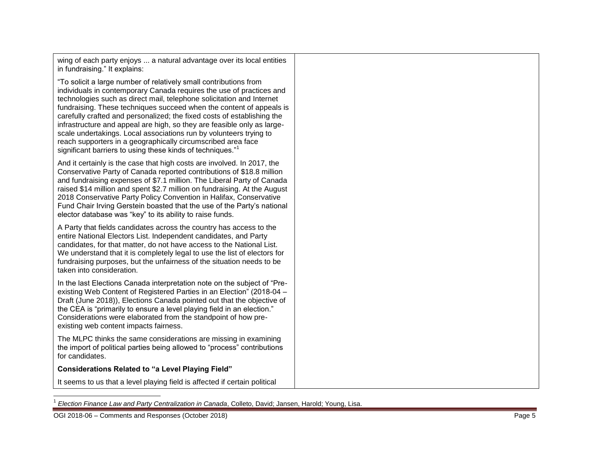wing of each party enjoys ... a natural advantage over its local entities in fundraising." It explains:

"To solicit a large number of relatively small contributions from individuals in contemporary Canada requires the use of practices and technologies such as direct mail, telephone solicitation and Internet fundraising. These techniques succeed when the content of appeals is carefully crafted and personalized; the fixed costs of establishing the infrastructure and appeal are high, so they are feasible only as large scale undertakings. Local associations run by volunteers trying to reach supporters in a geographically circumscribed area face significant barriers to using these kinds of techniques."<sup>1</sup>

And it certainly is the case that high costs are involved. In 2017, the Conservative Party of Canada reported contributions of \$18.8 million and fundraising expenses of \$7.1 million. The Liberal Party of Canada raised \$14 million and spent \$2.7 million on fundraising. At the August 2018 Conservative Party Policy Convention in Halifax, Conservative Fund Chair Irving Gerstein boasted that the use of the Party's national elector database was "key" to its ability to raise funds.

A Party that fields candidates across the country has access to the entire National Electors List. Independent candidates, and Party candidates, for that matter, do not have access to the National List. We understand that it is completely legal to use the list of electors for fundraising purposes, but the unfairness of the situation needs to be taken into consideration.

In the last Elections Canada interpretation note on the subject of "Pre existing Web Content of Registered Parties in an Election" (2018 -04 – Draft (June 2018) ), Elections Canada pointed out that the objective of the CEA is "primarily to ensure a level playing field in an election." Considerations were elaborated from the standpoint of how pre existing web content impacts fairness .

The MLPC thinks the same considerations are missing in examining the import of political parties being allowed to "process" contributions for candidates.

**Considerations Related to "a Level Playing Field"**

It seems to us that a level playing field is affected if certain political

<sup>|&</sup>lt;br>1 *Election Finance Law and Party Centralization in Canada*, Colleto, David; Jansen, Harold; Young, Lisa.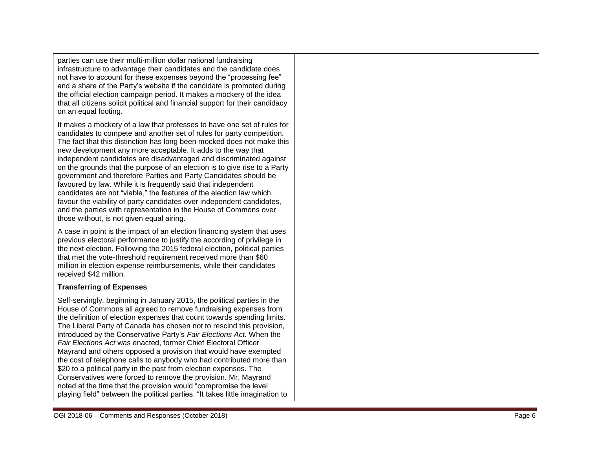parties can use their multi -million dollar national fundraising infrastructure to advantage their candidates and the candidate does not have to account for these expenses beyond the "processing fee" and a share of the Party's website if the candidate is promoted during the official election campaign period. It makes a mockery of the idea that all citizens solicit political and financial support for their candidacy on an equal footing.

It makes a mockery of a law that professes to have one set of rules for candidates to compete and another set of rules for party competition. The fact that this distinction has long been mocked does not make this new development any more acceptable. It adds to the way that independent candidates are disadvantaged and discriminated against on the grounds that the purpose of an election is to give rise to a Party government and therefore Parties and Party Candidates should be favoured by law. While it is frequently said that independent candidates are not "viable," the features of the election law which favour the viability of party candidates over independent candidates, and the parties with representation in the House of Commons over those without, is not given equal airing.

A case in point is the impact of an election financing system that uses previous electoral performance to justify the according of privilege in the next election. Following the 2015 federal election, political parties that met the vote -threshold requirement received more than \$60 million in election expense reimbursements, while their candidates received \$42 million.

#### **Transferring of Expenses**

Self -servingly, beginning in January 2015, the political parties in the House of Commons all agreed to remove fundraising expenses from the definition of election expenses that count towards spending limits. The Liberal Party of Canada has chosen not to rescind this provision, introduced by the Conservative Party's *Fair Elections Act.* When the *Fair Elections Act* was enacted, former Chief Electoral Officer Mayrand and others opposed a provision that would have exempted the cost of telephone calls to anybody who had contributed more than \$20 to a political party in the past from election expenses. The Conservatives were forced to remove the provision. Mr. Mayrand noted at the time that the provision would "compromise the level playing field" between the political parties. "It takes little imagination to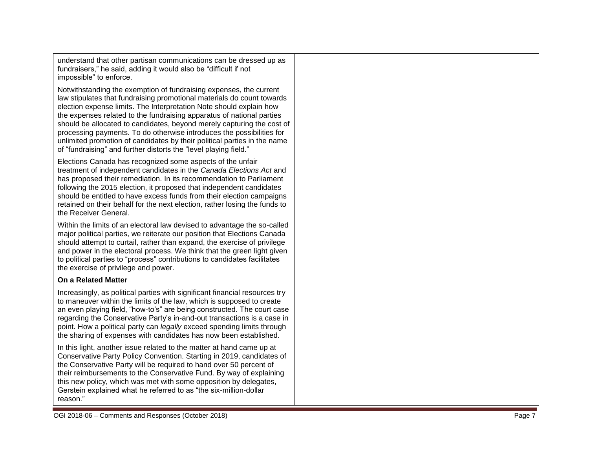understand that other partisan communications can be dressed up as fundraisers," he said, adding it would also be "difficult if not impossible" to enforce.

Notwithstanding the exemption of fundraising expenses, the current law stipulates that fundraising promotional materials do count towards election expense limits. The Interpretation Note should explain how the expenses related to the fundraising apparatus of national parties should be allocated to candidates, beyond merely capturing the cost of processing payments. To do otherwise introduces the possibilities for unlimited promotion of candidates by their political parties in the name of "fundraising" and further distorts the "level playing field."

Elections Canada has recognized some aspects of the unfair treatment of independent candidates in the *Canada Elections Act* and has proposed their remediation. In its recommendation to Parliament following the 2015 election, it proposed that independent candidates should be entitled to have excess funds from their election campaigns retained on their behalf for the next election, rather losing the funds to the Receiver General.

Within the limits of an electoral law devised to advantage the so -called major political parties, we reiterate our position that Elections Canada should attempt to curtail, rather than expand, the exercise of privilege and power in the electoral process. We think that the green light given to political parties to "process" contributions to candidates facilitates the exercise of privilege and power.

#### **On a Related Matter**

Increasingly, as political parties with significant financial resources try to maneuver within the limits of the law, which is supposed to create an even playing field, "how -to's" are being constructed. The court case regarding the Conservative Party's in -and -out transactions is a case in point. How a political party can *legally* exceed spending limits through the sharing of expenses with candidates has now been established.

In this light, another issue related to the matter at hand came up at Conservative Party Policy Convention. Starting in 2019, candidates of the Conservative Party will be required to hand over 50 percent of their reimbursements to the Conservative Fund. By way of explaining this new policy, which was met with some opposition by delegates, Gerstein explained what he referred to as "the six -million -dollar reason. "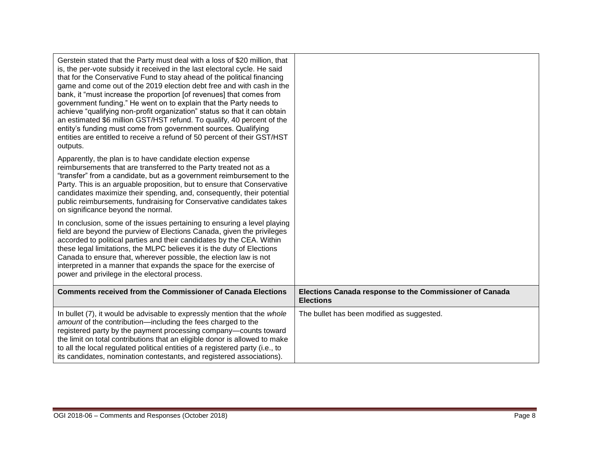| Gerstein stated that the Party must deal with a loss of \$20 million, that<br>is, the per-vote subsidy it received in the last electoral cycle. He said<br>that for the Conservative Fund to stay ahead of the political financing<br>game and come out of the 2019 election debt free and with cash in the<br>bank, it "must increase the proportion [of revenues] that comes from<br>government funding." He went on to explain that the Party needs to<br>achieve "qualifying non-profit organization" status so that it can obtain<br>an estimated \$6 million GST/HST refund. To qualify, 40 percent of the<br>entity's funding must come from government sources. Qualifying<br>entities are entitled to receive a refund of 50 percent of their GST/HST<br>outputs. |                                                                             |
|----------------------------------------------------------------------------------------------------------------------------------------------------------------------------------------------------------------------------------------------------------------------------------------------------------------------------------------------------------------------------------------------------------------------------------------------------------------------------------------------------------------------------------------------------------------------------------------------------------------------------------------------------------------------------------------------------------------------------------------------------------------------------|-----------------------------------------------------------------------------|
| Apparently, the plan is to have candidate election expense<br>reimbursements that are transferred to the Party treated not as a<br>"transfer" from a candidate, but as a government reimbursement to the<br>Party. This is an arguable proposition, but to ensure that Conservative<br>candidates maximize their spending, and, consequently, their potential<br>public reimbursements, fundraising for Conservative candidates takes<br>on significance beyond the normal.                                                                                                                                                                                                                                                                                                |                                                                             |
| In conclusion, some of the issues pertaining to ensuring a level playing<br>field are beyond the purview of Elections Canada, given the privileges<br>accorded to political parties and their candidates by the CEA. Within<br>these legal limitations, the MLPC believes it is the duty of Elections<br>Canada to ensure that, wherever possible, the election law is not<br>interpreted in a manner that expands the space for the exercise of<br>power and privilege in the electoral process.                                                                                                                                                                                                                                                                          |                                                                             |
| <b>Comments received from the Commissioner of Canada Elections</b>                                                                                                                                                                                                                                                                                                                                                                                                                                                                                                                                                                                                                                                                                                         | Elections Canada response to the Commissioner of Canada<br><b>Elections</b> |
| In bullet (7), it would be advisable to expressly mention that the whole<br>amount of the contribution-including the fees charged to the<br>registered party by the payment processing company-counts toward<br>the limit on total contributions that an eligible donor is allowed to make<br>to all the local regulated political entities of a registered party (i.e., to<br>its candidates, nomination contestants, and registered associations).                                                                                                                                                                                                                                                                                                                       | The bullet has been modified as suggested.                                  |